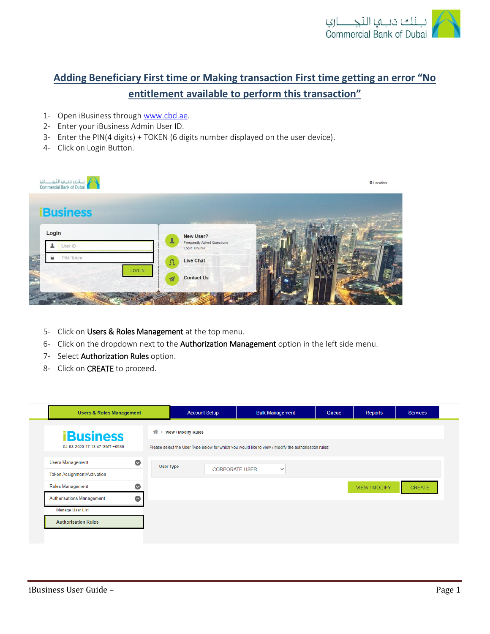

## **Adding Beneficiary First time or Making transaction First time getting an error "No entitlement available to perform this transaction"**

- 1- Open iBusiness through [www.cbd.ae.](http://www.cbd.ae/)
- 2- Enter your iBusiness Admin User ID.
- 3- Enter the PIN(4 digits) + TOKEN (6 digits number displayed on the user device).
- 4- Click on Login Button.

| البنك ديبها النجــــــاري<br>Commercial Bank of Dubai |                                                                 | <b>Q</b> Location |
|-------------------------------------------------------|-----------------------------------------------------------------|-------------------|
| <b>Business</b>                                       | <b>Service Addy</b><br><b>CONTRACTOR</b>                        |                   |
| Login<br>$\mathbf{L}$<br>User ID<br>┻                 | New User?<br><b>Frequently Asked Questions</b><br>Login Trouble |                   |
| ≞<br>PIN+Token<br>$\Omega$                            | Live Chat                                                       |                   |
| LOG IN<br>$\overline{\mathcal{A}}$                    | <b>Contact Us</b>                                               |                   |
|                                                       |                                                                 |                   |

- 5- Click on Users & Roles Management at the top menu.
- 6- Click on the dropdown next to the Authorization Management option in the left side menu.
- 7- Select Authorization Rules option.
- 8- Click on CREATE to proceed.

| 습<br><b>iBusiness</b><br>04-08-2020 17:13:47 GMT +0530<br>$\bullet$<br><b>Users Management</b><br><b>User Type</b><br>Token Assignment/Activation<br>$\bullet$<br>Roles Management<br>$\bullet$<br>Authorisations Management<br>Manage User List | <b>View / Modify Rules</b> |                                                                                                      |               |        |
|--------------------------------------------------------------------------------------------------------------------------------------------------------------------------------------------------------------------------------------------------|----------------------------|------------------------------------------------------------------------------------------------------|---------------|--------|
|                                                                                                                                                                                                                                                  |                            |                                                                                                      |               |        |
|                                                                                                                                                                                                                                                  |                            | Please select the User Type below for which you would like to view / modify the authorisation rules: |               |        |
|                                                                                                                                                                                                                                                  |                            |                                                                                                      |               |        |
|                                                                                                                                                                                                                                                  | <b>CORPORATE USER</b>      | $\checkmark$                                                                                         |               |        |
|                                                                                                                                                                                                                                                  |                            |                                                                                                      | VIEW / MODIFY | CREATE |
|                                                                                                                                                                                                                                                  |                            |                                                                                                      |               |        |
|                                                                                                                                                                                                                                                  |                            |                                                                                                      |               |        |
| <b>Authorisation Rules</b>                                                                                                                                                                                                                       |                            |                                                                                                      |               |        |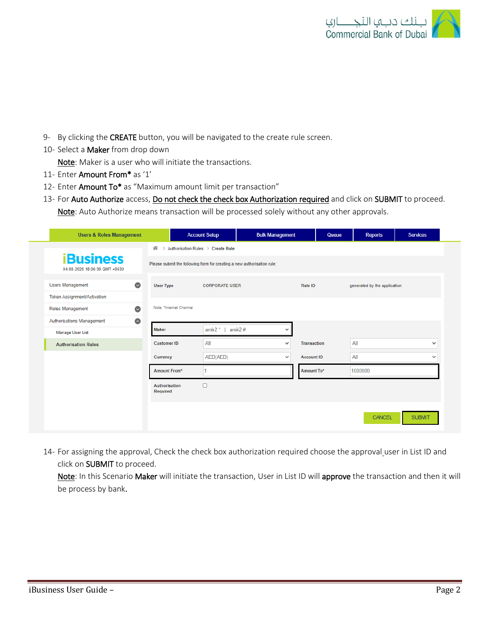

- 9- By clicking the CREATE button, you will be navigated to the create rule screen.
- 10- Select a Maker from drop down

Note: Maker is a user who will initiate the transactions.

- 11- Enter Amount From\* as '1'
- 12- Enter Amount To\* as "Maximum amount limit per transaction"

13- For Auto Authorize access, Do not check the check box Authorization required and click on SUBMIT to proceed. Note: Auto Authorize means transaction will be processed solely without any other approvals.

| <b>Users &amp; Roles Management</b>               |                                                                         | <b>Account Setup</b>                | <b>Bulk Management</b> | Queue             | <b>Reports</b>               | <b>Services</b> |
|---------------------------------------------------|-------------------------------------------------------------------------|-------------------------------------|------------------------|-------------------|------------------------------|-----------------|
|                                                   | 备                                                                       | > Authorisation Rules > Create Rule |                        |                   |                              |                 |
| <b>iBusiness</b><br>04-08-2020 18:06:30 GMT +0530 | Please submit the following form for creating a new authorisation rule: |                                     |                        |                   |                              |                 |
| $\sim$<br><b>Users Management</b>                 | <b>User Type</b>                                                        | <b>CORPORATE USER</b>               |                        | Rule ID           | generated by the application |                 |
| <b>Token Assignment/Activation</b>                |                                                                         |                                     |                        |                   |                              |                 |
| $\bullet$<br>Roles Management                     | Note: *Internet Channel                                                 |                                     |                        |                   |                              |                 |
| $\bullet$<br>Authorisations Management            |                                                                         |                                     |                        |                   |                              |                 |
| <b>Manage User List</b>                           | <b>Maker</b>                                                            | amir $2^*$<br>amir $2#$             | $\checkmark$           |                   |                              |                 |
| <b>Authorisation Rules</b>                        | <b>Customer ID</b>                                                      | All                                 | $\checkmark$           | Transaction       | All                          | $\checkmark$    |
|                                                   | Currency                                                                | AED(AED)                            | $\checkmark$           | <b>Account ID</b> | All                          | $\checkmark$    |
|                                                   | Amount From*                                                            |                                     |                        | Amount To*        | 1000000                      |                 |
|                                                   | Authorisation<br>Required                                               | $\Box$                              |                        |                   |                              |                 |
|                                                   |                                                                         |                                     |                        |                   | CANCEL                       | <b>SUBMIT</b>   |

14- For assigning the approval, Check the check box authorization required choose the approval user in List ID and click on SUBMIT to proceed.

Note: In this Scenario Maker will initiate the transaction, User in List ID will approve the transaction and then it will be process by bank.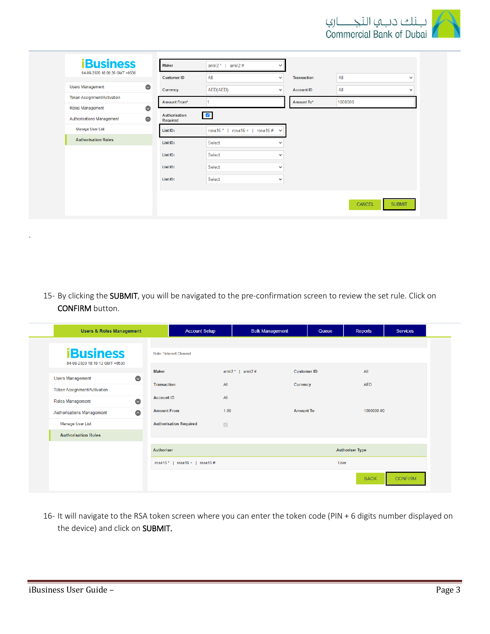

| <b>iBusiness</b><br>04-08-2020 18:06:30 GMT +0530 |           | <b>Maker</b>              | amir $2^*$  <br>amir $2#$                 | $\checkmark$ |                    |         |              |
|---------------------------------------------------|-----------|---------------------------|-------------------------------------------|--------------|--------------------|---------|--------------|
|                                                   |           | <b>Customer ID</b>        | All                                       | $\checkmark$ | <b>Transaction</b> | All     | $\checkmark$ |
| <b>Users Management</b>                           | $\bullet$ | Currency                  | AED(AED)                                  | $\checkmark$ | <b>Account ID</b>  | All     | $\checkmark$ |
| <b>Token Assignment/Activation</b>                |           | <b>Amount From*</b>       |                                           |              | Amount To*         | 1000000 |              |
| Roles Management                                  | $\bullet$ |                           |                                           |              |                    |         |              |
| Authorisations Management                         | $\bullet$ | Authorisation<br>Required | $\blacksquare$                            |              |                    |         |              |
| <b>Manage User List</b>                           |           | List ID:                  | rosa16 +   rosa16 # $\vee$<br>rosa $16 *$ |              |                    |         |              |
| <b>Authorisation Rules</b>                        |           | List ID:                  | Select                                    | $\checkmark$ |                    |         |              |
|                                                   |           | List ID:                  | Select                                    | $\checkmark$ |                    |         |              |
|                                                   |           | List ID:                  | Select                                    | $\checkmark$ |                    |         |              |
|                                                   |           | List ID:                  | Select                                    | $\checkmark$ |                    |         |              |
|                                                   |           |                           |                                           |              |                    |         |              |

15- By clicking the SUBMIT, you will be navigated to the pre-confirmation screen to review the set rule. Click on CONFIRM button.

| <b>Users &amp; Roles Management</b>                  |                                              | <b>Account Setup</b>                                       | <b>Bulk Management</b> | Queue              | Reports                | <b>Services</b> |
|------------------------------------------------------|----------------------------------------------|------------------------------------------------------------|------------------------|--------------------|------------------------|-----------------|
| <b>iBusiness</b><br>04-08-2020 18:19:12 GMT +0530    |                                              | Note: *Internet Channel                                    |                        |                    |                        |                 |
| <b>Users Management</b>                              | <b>Maker</b><br>$\bullet$                    |                                                            | amir2#<br>amir $2 *  $ | <b>Customer ID</b> | All                    |                 |
| Token Assignment/Activation                          | <b>Transaction</b><br><b>Account ID</b>      | All<br>All                                                 |                        | Currency           | <b>AED</b>             |                 |
| Roles Management<br><b>Authorisations Management</b> | $\bullet$<br><b>Amount From</b><br>$\bullet$ | 1.00                                                       |                        | <b>Amount To</b>   | 1000000.00             |                 |
| Manage User List<br><b>Authorisation Rules</b>       |                                              | <b>Authorisation Required</b><br>$\overline{\mathbb{S}^2}$ |                        |                    |                        |                 |
|                                                      | <b>Authoriser</b>                            |                                                            |                        |                    | <b>Authoriser Type</b> |                 |
|                                                      |                                              | rosa16 *   rosa16 +   rosa16 #                             |                        |                    | User                   |                 |
|                                                      |                                              |                                                            |                        |                    | <b>BACK</b>            | <b>CONFIRM</b>  |

16- It will navigate to the RSA token screen where you can enter the token code (PIN + 6 digits number displayed on the device) and click on SUBMIT.

.